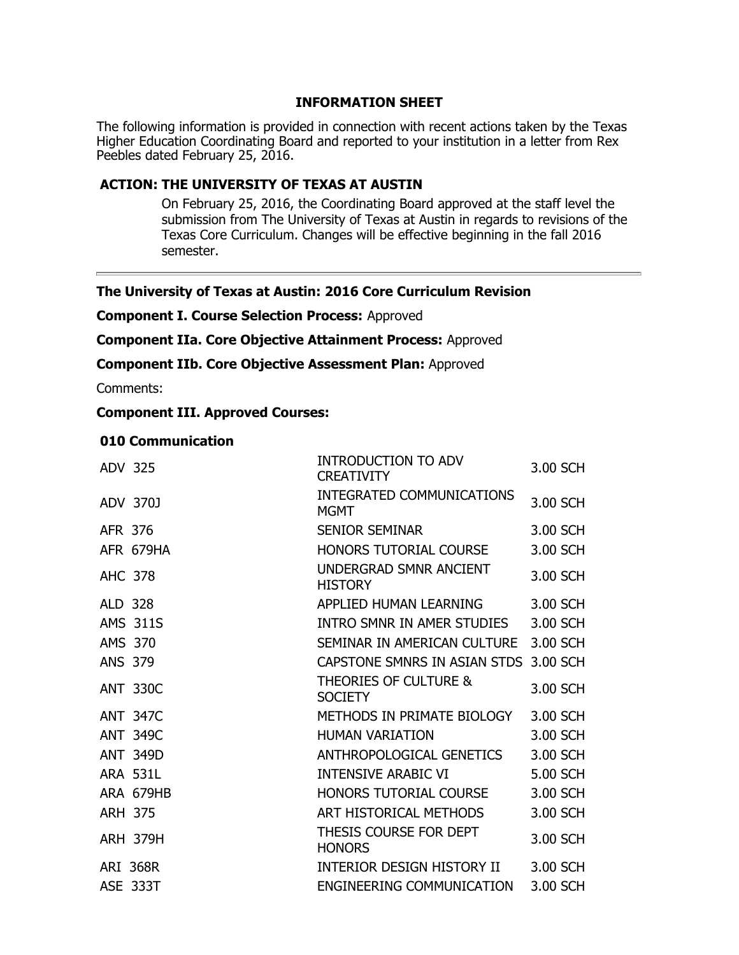### **INFORMATION SHEET**

The following information is provided in connection with recent actions taken by the Texas Higher Education Coordinating Board and reported to your institution in a letter from Rex Peebles dated February 25, 2016.

# **ACTION: THE UNIVERSITY OF TEXAS AT AUSTIN**

On February 25, 2016, the Coordinating Board approved at the staff level the submission from The University of Texas at Austin in regards to revisions of the Texas Core Curriculum. Changes will be effective beginning in the fall 2016 semester.

### **The University of Texas at Austin: 2016 Core Curriculum Revision**

**Component I. Course Selection Process:** Approved

**Component IIa. Core Objective Attainment Process:** Approved

**Component IIb. Core Objective Assessment Plan:** Approved

Comments:

## **Component III. Approved Courses:**

### **010 Communication**

| ADV 325        |                 | INTRODUCTION TO ADV<br><b>CREATIVITY</b>           | 3.00 SCH |
|----------------|-----------------|----------------------------------------------------|----------|
|                | ADV 370J        | INTEGRATED COMMUNICATIONS<br><b>MGMT</b>           | 3.00 SCH |
| AFR 376        |                 | <b>SENIOR SEMINAR</b>                              | 3.00 SCH |
|                | AFR 679HA       | HONORS TUTORIAL COURSE                             | 3.00 SCH |
| <b>AHC 378</b> |                 | UNDERGRAD SMNR ANCIENT<br><b>HISTORY</b>           | 3.00 SCH |
| ALD 328        |                 | APPLIED HUMAN LEARNING                             | 3.00 SCH |
|                | <b>AMS 311S</b> | INTRO SMNR IN AMER STUDIES                         | 3.00 SCH |
| AMS 370        |                 | SEMINAR IN AMERICAN CULTURE                        | 3.00 SCH |
| <b>ANS 379</b> |                 | CAPSTONE SMNRS IN ASIAN STDS 3.00 SCH              |          |
|                | <b>ANT 330C</b> | <b>THEORIES OF CULTURE &amp;</b><br><b>SOCIETY</b> | 3.00 SCH |
|                | <b>ANT 347C</b> | METHODS IN PRIMATE BIOLOGY                         | 3.00 SCH |
|                | <b>ANT 349C</b> | <b>HUMAN VARIATION</b>                             | 3.00 SCH |
|                | <b>ANT 349D</b> | ANTHROPOLOGICAL GENETICS                           | 3.00 SCH |
|                | <b>ARA 531L</b> | <b>INTENSIVE ARABIC VI</b>                         | 5.00 SCH |
|                | ARA 679HB       | HONORS TUTORIAL COURSE                             | 3.00 SCH |
| <b>ARH 375</b> |                 | ART HISTORICAL METHODS                             | 3.00 SCH |
|                | <b>ARH 379H</b> | THESIS COURSE FOR DEPT<br><b>HONORS</b>            | 3.00 SCH |
|                | <b>ARI 368R</b> | INTERIOR DESIGN HISTORY II                         | 3.00 SCH |
|                | <b>ASE 333T</b> | ENGINEERING COMMUNICATION                          | 3.00 SCH |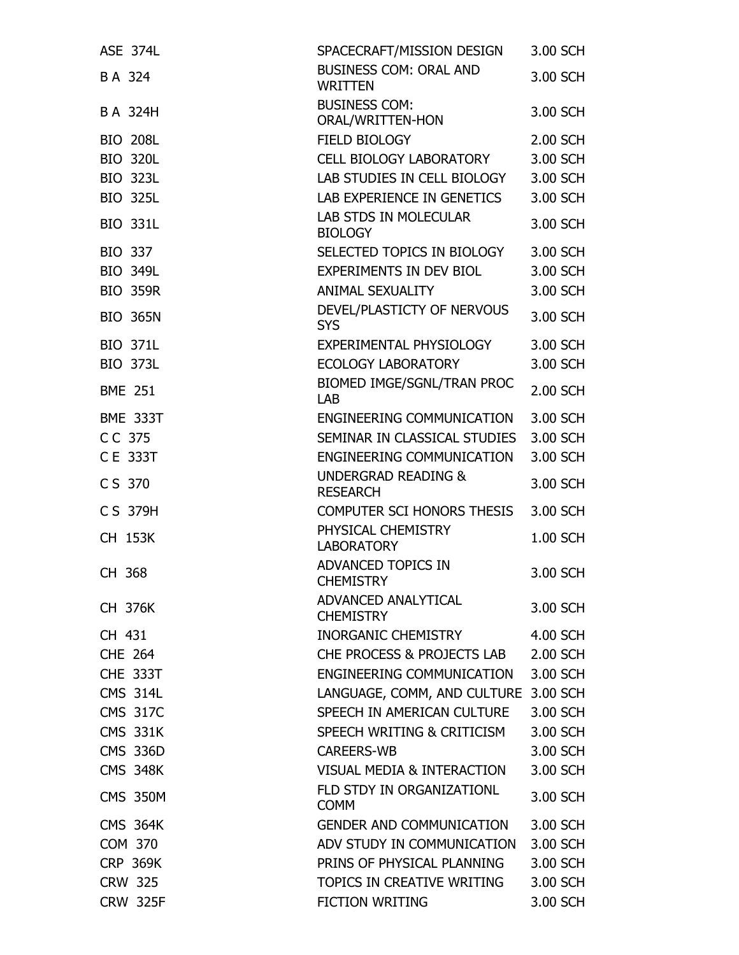| <b>ASE 374L</b> | SPACECRAFT/MISSION DESIGN                         | 3.00 SCH |
|-----------------|---------------------------------------------------|----------|
| B A 324         | <b>BUSINESS COM: ORAL AND</b><br><b>WRITTEN</b>   | 3.00 SCH |
| B A 324H        | <b>BUSINESS COM:</b><br>ORAL/WRITTEN-HON          | 3.00 SCH |
| <b>BIO 208L</b> | FIELD BIOLOGY                                     | 2.00 SCH |
| <b>BIO 320L</b> | <b>CELL BIOLOGY LABORATORY</b>                    | 3.00 SCH |
| <b>BIO 323L</b> | LAB STUDIES IN CELL BIOLOGY                       | 3.00 SCH |
| <b>BIO 325L</b> | LAB EXPERIENCE IN GENETICS                        | 3.00 SCH |
| <b>BIO 331L</b> | <b>LAB STDS IN MOLECULAR</b><br><b>BIOLOGY</b>    | 3.00 SCH |
| <b>BIO 337</b>  | SELECTED TOPICS IN BIOLOGY                        | 3.00 SCH |
| <b>BIO 349L</b> | EXPERIMENTS IN DEV BIOL                           | 3.00 SCH |
| <b>BIO 359R</b> | ANIMAL SEXUALITY                                  | 3.00 SCH |
| <b>BIO 365N</b> | DEVEL/PLASTICTY OF NERVOUS<br><b>SYS</b>          | 3.00 SCH |
| <b>BIO 371L</b> | EXPERIMENTAL PHYSIOLOGY                           | 3.00 SCH |
| <b>BIO 373L</b> | <b>ECOLOGY LABORATORY</b>                         | 3.00 SCH |
| <b>BME 251</b>  | BIOMED IMGE/SGNL/TRAN PROC<br>LAB                 | 2.00 SCH |
| <b>BME 333T</b> | <b>ENGINEERING COMMUNICATION</b>                  | 3.00 SCH |
| CC 375          | SEMINAR IN CLASSICAL STUDIES                      | 3.00 SCH |
| C E 333T        | ENGINEERING COMMUNICATION                         | 3.00 SCH |
| C S 370         | <b>UNDERGRAD READING &amp;</b><br><b>RESEARCH</b> | 3.00 SCH |
| C S 379H        | COMPUTER SCI HONORS THESIS                        | 3.00 SCH |
| CH 153K         | PHYSICAL CHEMISTRY<br><b>LABORATORY</b>           | 1.00 SCH |
| CH 368          | ADVANCED TOPICS IN<br><b>CHEMISTRY</b>            | 3.00 SCH |
| CH 376K         | ADVANCED ANALYTICAL<br><b>CHEMISTRY</b>           | 3.00 SCH |
| CH 431          | <b>INORGANIC CHEMISTRY</b>                        | 4.00 SCH |
| <b>CHE 264</b>  | CHE PROCESS & PROJECTS LAB                        | 2.00 SCH |
| <b>CHE 333T</b> | <b>ENGINEERING COMMUNICATION</b>                  | 3.00 SCH |
| <b>CMS 314L</b> | LANGUAGE, COMM, AND CULTURE                       | 3.00 SCH |
| <b>CMS 317C</b> | SPEECH IN AMERICAN CULTURE                        | 3.00 SCH |
| <b>CMS 331K</b> | SPEECH WRITING & CRITICISM                        | 3.00 SCH |
| <b>CMS 336D</b> | <b>CAREERS-WB</b>                                 | 3.00 SCH |
| <b>CMS 348K</b> | <b>VISUAL MEDIA &amp; INTERACTION</b>             | 3.00 SCH |
| <b>CMS 350M</b> | FLD STDY IN ORGANIZATIONL<br><b>COMM</b>          | 3.00 SCH |
| <b>CMS 364K</b> | <b>GENDER AND COMMUNICATION</b>                   | 3.00 SCH |
| <b>COM 370</b>  | ADV STUDY IN COMMUNICATION                        | 3.00 SCH |
| <b>CRP 369K</b> | PRINS OF PHYSICAL PLANNING                        | 3.00 SCH |
| <b>CRW 325</b>  | TOPICS IN CREATIVE WRITING                        | 3.00 SCH |
| <b>CRW 325F</b> | <b>FICTION WRITING</b>                            | 3.00 SCH |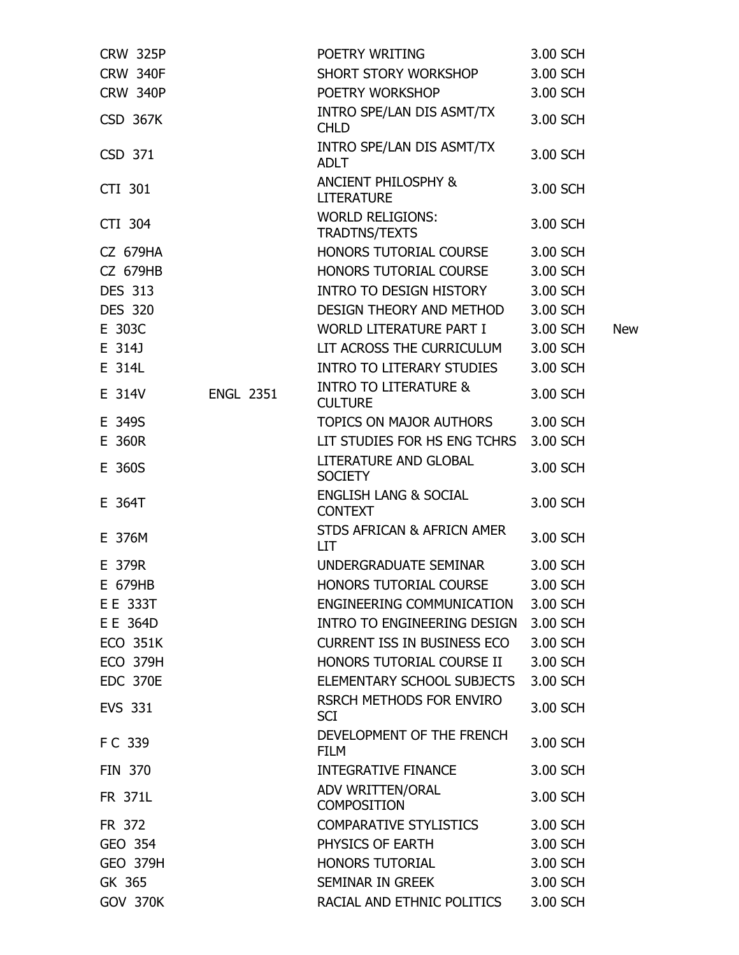| <b>CRW 325P</b> |                  | POETRY WRITING                                     | 3.00 SCH |            |
|-----------------|------------------|----------------------------------------------------|----------|------------|
| <b>CRW 340F</b> |                  | SHORT STORY WORKSHOP                               | 3.00 SCH |            |
| <b>CRW 340P</b> |                  | POETRY WORKSHOP                                    | 3.00 SCH |            |
| <b>CSD 367K</b> |                  | INTRO SPE/LAN DIS ASMT/TX<br><b>CHLD</b>           | 3.00 SCH |            |
| CSD 371         |                  | INTRO SPE/LAN DIS ASMT/TX<br><b>ADLT</b>           | 3.00 SCH |            |
| CTI 301         |                  | ANCIENT PHILOSPHY &<br><b>LITERATURE</b>           | 3.00 SCH |            |
| CTI 304         |                  | <b>WORLD RELIGIONS:</b><br>TRADTNS/TEXTS           | 3.00 SCH |            |
| <b>CZ 679HA</b> |                  | HONORS TUTORIAL COURSE                             | 3.00 SCH |            |
| <b>CZ 679HB</b> |                  | HONORS TUTORIAL COURSE                             | 3.00 SCH |            |
| <b>DES 313</b>  |                  | INTRO TO DESIGN HISTORY                            | 3.00 SCH |            |
| <b>DES 320</b>  |                  | DESIGN THEORY AND METHOD                           | 3.00 SCH |            |
| E 303C          |                  | WORLD LITERATURE PART I                            | 3.00 SCH | <b>New</b> |
| E 314J          |                  | LIT ACROSS THE CURRICULUM                          | 3.00 SCH |            |
| E 314L          |                  | INTRO TO LITERARY STUDIES                          | 3.00 SCH |            |
| E 314V          | <b>ENGL 2351</b> | <b>INTRO TO LITERATURE &amp;</b><br><b>CULTURE</b> | 3.00 SCH |            |
| E 349S          |                  | TOPICS ON MAJOR AUTHORS                            | 3.00 SCH |            |
| E 360R          |                  | LIT STUDIES FOR HS ENG TCHRS                       | 3.00 SCH |            |
| E 360S          |                  | LITERATURE AND GLOBAL<br><b>SOCIETY</b>            | 3.00 SCH |            |
| E 364T          |                  | <b>ENGLISH LANG &amp; SOCIAL</b><br><b>CONTEXT</b> | 3.00 SCH |            |
| E 376M          |                  | STDS AFRICAN & AFRICN AMER<br><b>LIT</b>           | 3.00 SCH |            |
| E 379R          |                  | UNDERGRADUATE SEMINAR                              | 3.00 SCH |            |
| E 679HB         |                  | HONORS TUTORIAL COURSE                             | 3.00 SCH |            |
| E E 333T        |                  | ENGINEERING COMMUNICATION 3.00 SCH                 |          |            |
| E E 364D        |                  | INTRO TO ENGINEERING DESIGN                        | 3.00 SCH |            |
| <b>ECO 351K</b> |                  | CURRENT ISS IN BUSINESS ECO                        | 3.00 SCH |            |
| <b>ECO 379H</b> |                  | HONORS TUTORIAL COURSE II                          | 3.00 SCH |            |
| <b>EDC 370E</b> |                  | ELEMENTARY SCHOOL SUBJECTS                         | 3.00 SCH |            |
| <b>EVS 331</b>  |                  | RSRCH METHODS FOR ENVIRO<br><b>SCI</b>             | 3.00 SCH |            |
| FC 339          |                  | DEVELOPMENT OF THE FRENCH<br><b>FILM</b>           | 3.00 SCH |            |
| <b>FIN 370</b>  |                  | INTEGRATIVE FINANCE                                | 3.00 SCH |            |
| FR 371L         |                  | ADV WRITTEN/ORAL<br><b>COMPOSITION</b>             | 3.00 SCH |            |
| FR 372          |                  | COMPARATIVE STYLISTICS                             | 3.00 SCH |            |
| GEO 354         |                  | PHYSICS OF EARTH                                   | 3.00 SCH |            |
| <b>GEO 379H</b> |                  | HONORS TUTORIAL                                    | 3.00 SCH |            |
| GK 365          |                  | SEMINAR IN GREEK                                   | 3.00 SCH |            |
| <b>GOV 370K</b> |                  | RACIAL AND ETHNIC POLITICS                         | 3.00 SCH |            |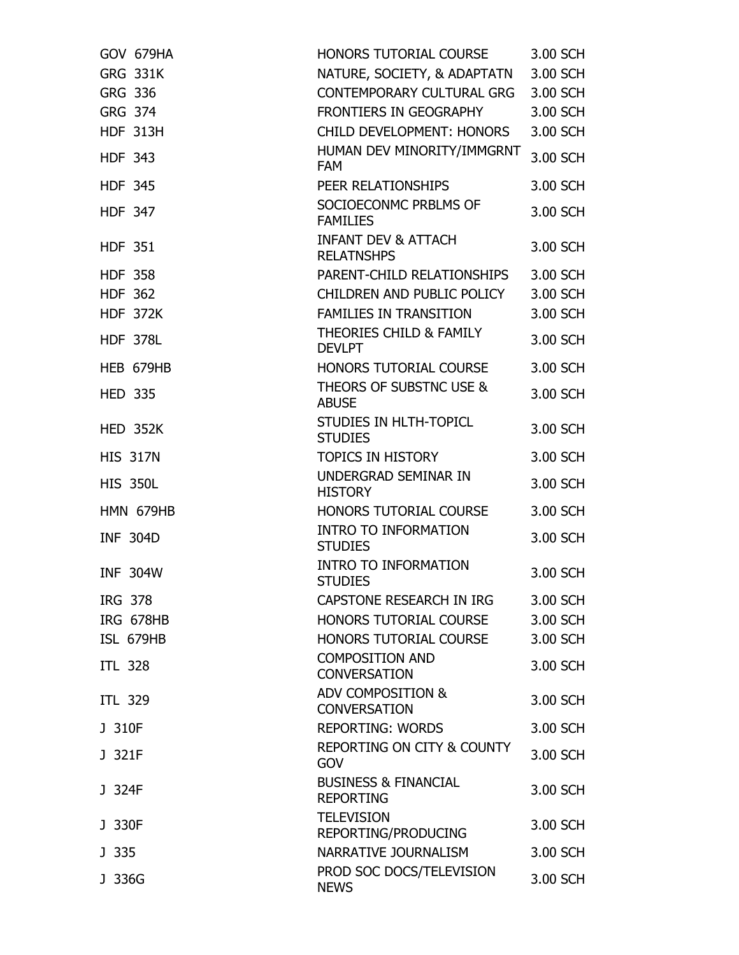| GOV 679HA        | HONORS TUTORIAL COURSE                              | 3.00 SCH |
|------------------|-----------------------------------------------------|----------|
| <b>GRG 331K</b>  | NATURE, SOCIETY, & ADAPTATN                         | 3.00 SCH |
| GRG 336          | <b>CONTEMPORARY CULTURAL GRG</b>                    | 3.00 SCH |
| <b>GRG 374</b>   | FRONTIERS IN GEOGRAPHY                              | 3.00 SCH |
| <b>HDF 313H</b>  | CHILD DEVELOPMENT: HONORS                           | 3.00 SCH |
| <b>HDF 343</b>   | HUMAN DEV MINORITY/IMMGRNT<br><b>FAM</b>            | 3.00 SCH |
| <b>HDF 345</b>   | PEER RELATIONSHIPS                                  | 3.00 SCH |
| <b>HDF 347</b>   | SOCIOECONMC PRBLMS OF<br><b>FAMILIES</b>            | 3.00 SCH |
| <b>HDF 351</b>   | <b>INFANT DEV &amp; ATTACH</b><br><b>RELATNSHPS</b> | 3.00 SCH |
| <b>HDF 358</b>   | PARENT-CHILD RELATIONSHIPS                          | 3.00 SCH |
| <b>HDF 362</b>   | CHILDREN AND PUBLIC POLICY                          | 3.00 SCH |
| <b>HDF 372K</b>  | <b>FAMILIES IN TRANSITION</b>                       | 3.00 SCH |
| <b>HDF 378L</b>  | THEORIES CHILD & FAMILY<br><b>DEVLPT</b>            | 3.00 SCH |
| HEB 679HB        | HONORS TUTORIAL COURSE                              | 3.00 SCH |
| <b>HED 335</b>   | THEORS OF SUBSTNC USE &<br><b>ABUSE</b>             | 3.00 SCH |
| <b>HED 352K</b>  | STUDIES IN HLTH-TOPICL<br><b>STUDIES</b>            | 3.00 SCH |
| <b>HIS 317N</b>  | <b>TOPICS IN HISTORY</b>                            | 3.00 SCH |
| <b>HIS 350L</b>  | UNDERGRAD SEMINAR IN<br><b>HISTORY</b>              | 3.00 SCH |
| HMN 679HB        | HONORS TUTORIAL COURSE                              | 3.00 SCH |
| <b>INF 304D</b>  | <b>INTRO TO INFORMATION</b><br><b>STUDIES</b>       | 3.00 SCH |
| <b>INF 304W</b>  | <b>INTRO TO INFORMATION</b><br><b>STUDIES</b>       | 3.00 SCH |
| IRG 378          | CAPSTONE RESEARCH IN IRG                            | 3.00 SCH |
| <b>IRG 678HB</b> | HONORS TUTORIAL COURSE                              | 3.00 SCH |
| ISL 679HB        | HONORS TUTORIAL COURSE                              | 3.00 SCH |
| <b>ITL 328</b>   | <b>COMPOSITION AND</b><br><b>CONVERSATION</b>       | 3.00 SCH |
| ITL 329          | ADV COMPOSITION &<br><b>CONVERSATION</b>            | 3.00 SCH |
| J 310F           | <b>REPORTING: WORDS</b>                             | 3.00 SCH |
| J 321F           | <b>REPORTING ON CITY &amp; COUNTY</b><br>GOV        | 3.00 SCH |
| J 324F           | <b>BUSINESS &amp; FINANCIAL</b><br><b>REPORTING</b> | 3.00 SCH |
| J 330F           | <b>TELEVISION</b><br>REPORTING/PRODUCING            | 3.00 SCH |
| J 335            | NARRATIVE JOURNALISM                                | 3.00 SCH |
| J 336G           | PROD SOC DOCS/TELEVISION<br><b>NEWS</b>             | 3.00 SCH |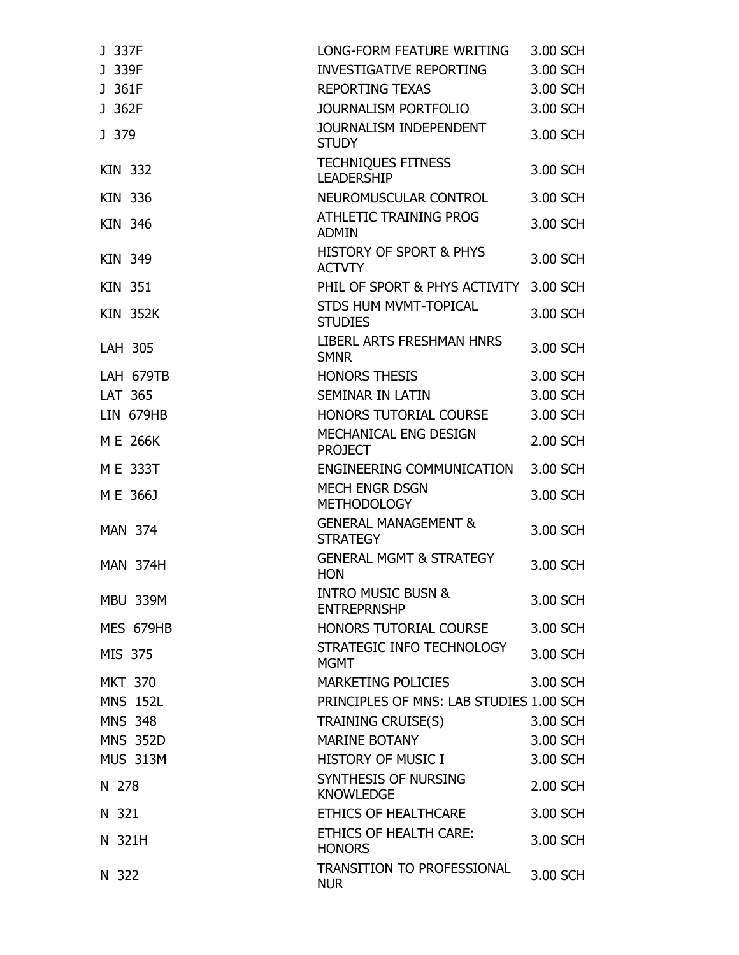| J 337F           | LONG-FORM FEATURE WRITING                           | 3.00 SCH |
|------------------|-----------------------------------------------------|----------|
| J 339F           | INVESTIGATIVE REPORTING                             | 3.00 SCH |
| J 361F           | <b>REPORTING TEXAS</b>                              | 3.00 SCH |
| J 362F           | <b>JOURNALISM PORTFOLIO</b>                         | 3.00 SCH |
| J 379            | JOURNALISM INDEPENDENT<br><b>STUDY</b>              | 3.00 SCH |
| <b>KIN 332</b>   | <b>TECHNIQUES FITNESS</b><br><b>LEADERSHIP</b>      | 3.00 SCH |
| <b>KIN 336</b>   | NEUROMUSCULAR CONTROL                               | 3.00 SCH |
| <b>KIN 346</b>   | <b>ATHLETIC TRAINING PROG</b><br><b>ADMIN</b>       | 3.00 SCH |
| <b>KIN 349</b>   | <b>HISTORY OF SPORT &amp; PHYS</b><br><b>ACTVTY</b> | 3.00 SCH |
| <b>KIN 351</b>   | PHIL OF SPORT & PHYS ACTIVITY                       | 3.00 SCH |
| <b>KIN 352K</b>  | STDS HUM MVMT-TOPICAL<br><b>STUDIES</b>             | 3.00 SCH |
| LAH 305          | LIBERL ARTS FRESHMAN HNRS<br><b>SMNR</b>            | 3.00 SCH |
| <b>LAH 679TB</b> | <b>HONORS THESIS</b>                                | 3.00 SCH |
| LAT 365          | <b>SEMINAR IN LATIN</b>                             | 3.00 SCH |
| <b>LIN 679HB</b> | HONORS TUTORIAL COURSE                              | 3.00 SCH |
| M E 266K         | MECHANICAL ENG DESIGN<br><b>PROJECT</b>             | 2.00 SCH |
| M E 333T         | ENGINEERING COMMUNICATION                           | 3.00 SCH |
| ME 366J          | MECH ENGR DSGN<br><b>METHODOLOGY</b>                | 3.00 SCH |
| <b>MAN 374</b>   | <b>GENERAL MANAGEMENT &amp;</b><br><b>STRATEGY</b>  | 3.00 SCH |
| <b>MAN 374H</b>  | <b>GENERAL MGMT &amp; STRATEGY</b><br><b>HON</b>    | 3.00 SCH |
| <b>MBU 339M</b>  | <b>INTRO MUSIC BUSN &amp;</b><br><b>ENTREPRNSHP</b> | 3.00 SCH |
| MES 679HB        | <b>HONORS TUTORIAL COURSE</b>                       | 3.00 SCH |
| MIS 375          | STRATEGIC INFO TECHNOLOGY<br><b>MGMT</b>            | 3.00 SCH |
| <b>MKT 370</b>   | MARKETING POLICIES                                  | 3.00 SCH |
| <b>MNS 152L</b>  | PRINCIPLES OF MNS: LAB STUDIES 1.00 SCH             |          |
| <b>MNS 348</b>   | TRAINING CRUISE(S)                                  | 3.00 SCH |
| <b>MNS 352D</b>  | <b>MARINE BOTANY</b>                                | 3.00 SCH |
| <b>MUS 313M</b>  | <b>HISTORY OF MUSIC I</b>                           | 3.00 SCH |
| N 278            | SYNTHESIS OF NURSING<br><b>KNOWLEDGE</b>            | 2.00 SCH |
| N 321            | ETHICS OF HEALTHCARE                                | 3.00 SCH |
| N 321H           | ETHICS OF HEALTH CARE:<br><b>HONORS</b>             | 3.00 SCH |
| N 322            | TRANSITION TO PROFESSIONAL<br><b>NUR</b>            | 3.00 SCH |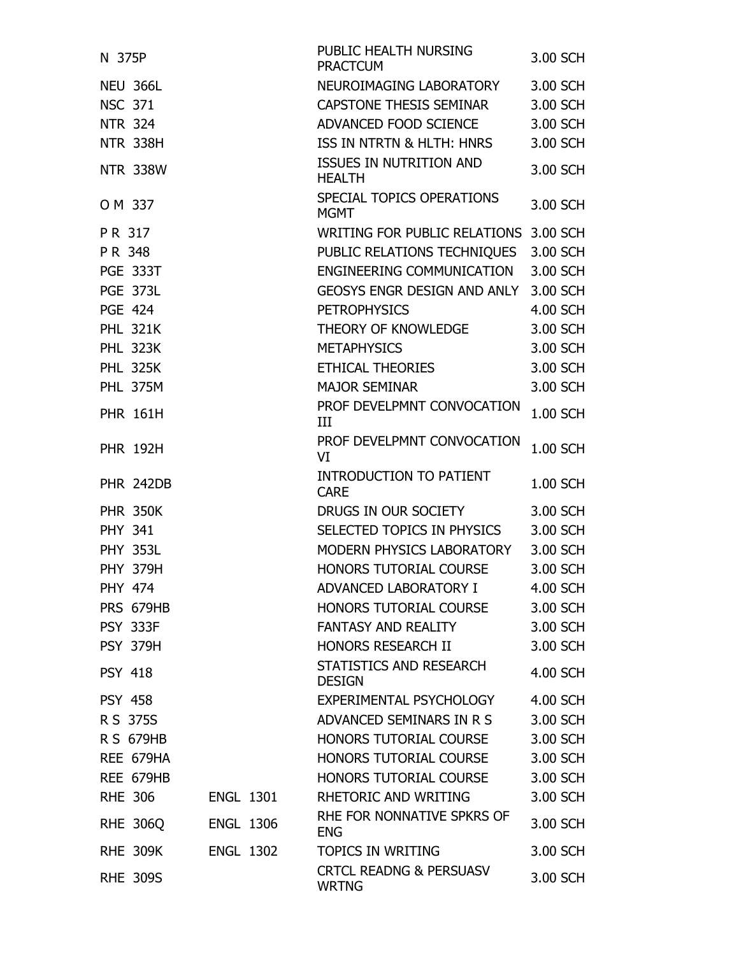| N 375P           |                  | PUBLIC HEALTH NURSING<br><b>PRACTCUM</b>           | 3.00 SCH |
|------------------|------------------|----------------------------------------------------|----------|
| <b>NEU 366L</b>  |                  | NEUROIMAGING LABORATORY                            | 3.00 SCH |
| <b>NSC 371</b>   |                  | CAPSTONE THESIS SEMINAR                            | 3.00 SCH |
| <b>NTR 324</b>   |                  | ADVANCED FOOD SCIENCE                              | 3.00 SCH |
| <b>NTR 338H</b>  |                  | ISS IN NTRTN & HLTH: HNRS                          | 3.00 SCH |
| <b>NTR 338W</b>  |                  | <b>ISSUES IN NUTRITION AND</b><br><b>HEALTH</b>    | 3.00 SCH |
| O M 337          |                  | SPECIAL TOPICS OPERATIONS<br><b>MGMT</b>           | 3.00 SCH |
| PR 317           |                  | <b>WRITING FOR PUBLIC RELATIONS</b>                | 3.00 SCH |
| PR 348           |                  | PUBLIC RELATIONS TECHNIQUES                        | 3.00 SCH |
| <b>PGE 333T</b>  |                  | ENGINEERING COMMUNICATION                          | 3.00 SCH |
| <b>PGE 373L</b>  |                  | GEOSYS ENGR DESIGN AND ANLY                        | 3.00 SCH |
| <b>PGE 424</b>   |                  | <b>PETROPHYSICS</b>                                | 4.00 SCH |
| <b>PHL 321K</b>  |                  | THEORY OF KNOWLEDGE                                | 3.00 SCH |
| <b>PHL 323K</b>  |                  | <b>METAPHYSICS</b>                                 | 3.00 SCH |
| <b>PHL 325K</b>  |                  | ETHICAL THEORIES                                   | 3.00 SCH |
| <b>PHL 375M</b>  |                  | <b>MAJOR SEMINAR</b>                               | 3.00 SCH |
| <b>PHR 161H</b>  |                  | PROF DEVELPMNT CONVOCATION<br>III                  | 1.00 SCH |
| <b>PHR 192H</b>  |                  | PROF DEVELPMNT CONVOCATION<br>VI                   | 1.00 SCH |
| <b>PHR 242DB</b> |                  | <b>INTRODUCTION TO PATIENT</b><br><b>CARE</b>      | 1.00 SCH |
| <b>PHR 350K</b>  |                  | DRUGS IN OUR SOCIETY                               | 3.00 SCH |
| <b>PHY 341</b>   |                  | SELECTED TOPICS IN PHYSICS                         | 3.00 SCH |
| <b>PHY 353L</b>  |                  | MODERN PHYSICS LABORATORY                          | 3.00 SCH |
| <b>PHY 379H</b>  |                  | HONORS TUTORIAL COURSE                             | 3.00 SCH |
| <b>PHY 474</b>   |                  | ADVANCED LABORATORY I                              | 4.00 SCH |
| PRS 679HB        |                  | <b>HONORS TUTORIAL COURSE</b>                      | 3.00 SCH |
| <b>PSY 333F</b>  |                  | <b>FANTASY AND REALITY</b>                         | 3.00 SCH |
| <b>PSY 379H</b>  |                  | HONORS RESEARCH II                                 | 3.00 SCH |
| <b>PSY 418</b>   |                  | STATISTICS AND RESEARCH<br><b>DESIGN</b>           | 4.00 SCH |
| <b>PSY 458</b>   |                  | EXPERIMENTAL PSYCHOLOGY                            | 4.00 SCH |
| R S 375S         |                  | ADVANCED SEMINARS IN R S                           | 3.00 SCH |
| <b>R S 679HB</b> |                  | <b>HONORS TUTORIAL COURSE</b>                      | 3.00 SCH |
| REE 679HA        |                  | HONORS TUTORIAL COURSE                             | 3.00 SCH |
| REE 679HB        |                  | HONORS TUTORIAL COURSE                             | 3.00 SCH |
| <b>RHE 306</b>   | <b>ENGL 1301</b> | RHETORIC AND WRITING                               | 3.00 SCH |
| <b>RHE 306Q</b>  | <b>ENGL 1306</b> | RHE FOR NONNATIVE SPKRS OF<br><b>ENG</b>           | 3.00 SCH |
| <b>RHE 309K</b>  | <b>ENGL 1302</b> | <b>TOPICS IN WRITING</b>                           | 3.00 SCH |
| <b>RHE 309S</b>  |                  | <b>CRTCL READNG &amp; PERSUASV</b><br><b>WRTNG</b> | 3.00 SCH |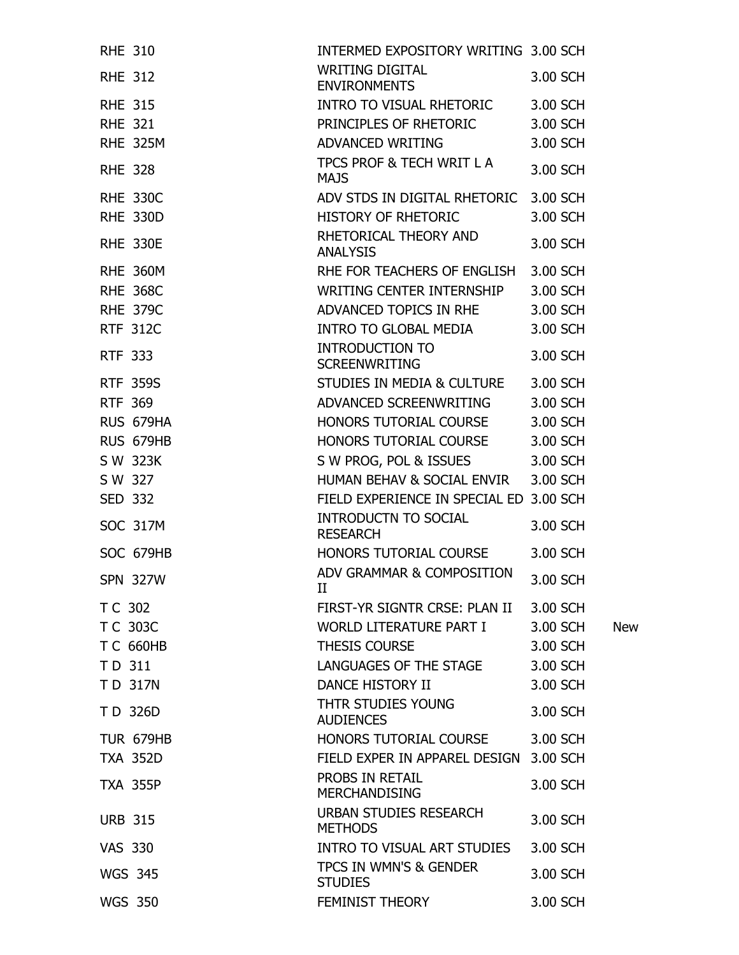| <b>RHE 310</b> |                  | INTERMED EXPOSITORY WRITING 3.00 SCH     |          |            |
|----------------|------------------|------------------------------------------|----------|------------|
| <b>RHE 312</b> |                  | WRITING DIGITAL<br><b>ENVIRONMENTS</b>   | 3.00 SCH |            |
| <b>RHE 315</b> |                  | INTRO TO VISUAL RHETORIC 3.00 SCH        |          |            |
| <b>RHE 321</b> |                  | PRINCIPLES OF RHETORIC                   | 3.00 SCH |            |
|                | <b>RHE 325M</b>  | ADVANCED WRITING                         | 3.00 SCH |            |
| <b>RHE 328</b> |                  | TPCS PROF & TECH WRIT L A<br><b>MAJS</b> | 3.00 SCH |            |
|                | <b>RHE 330C</b>  | ADV STDS IN DIGITAL RHETORIC 3.00 SCH    |          |            |
|                | <b>RHE 330D</b>  | HISTORY OF RHETORIC                      | 3.00 SCH |            |
|                | <b>RHE 330E</b>  | RHETORICAL THEORY AND<br><b>ANALYSIS</b> | 3.00 SCH |            |
|                | <b>RHE 360M</b>  | RHE FOR TEACHERS OF ENGLISH              | 3.00 SCH |            |
|                | <b>RHE 368C</b>  | WRITING CENTER INTERNSHIP                | 3.00 SCH |            |
|                | <b>RHE 379C</b>  | ADVANCED TOPICS IN RHE                   | 3.00 SCH |            |
|                | <b>RTF 312C</b>  | INTRO TO GLOBAL MEDIA                    | 3.00 SCH |            |
| <b>RTF 333</b> |                  | INTRODUCTION TO<br><b>SCREENWRITING</b>  | 3.00 SCH |            |
|                | <b>RTF 359S</b>  | STUDIES IN MEDIA & CULTURE 3.00 SCH      |          |            |
| <b>RTF 369</b> |                  | ADVANCED SCREENWRITING                   | 3.00 SCH |            |
|                | RUS 679HA        | HONORS TUTORIAL COURSE                   | 3.00 SCH |            |
|                | RUS 679HB        | HONORS TUTORIAL COURSE                   | 3.00 SCH |            |
|                | S W 323K         | S W PROG, POL & ISSUES                   | 3.00 SCH |            |
| S W 327        |                  | HUMAN BEHAV & SOCIAL ENVIR               | 3.00 SCH |            |
| <b>SED 332</b> |                  | FIELD EXPERIENCE IN SPECIAL ED 3.00 SCH  |          |            |
|                | <b>SOC 317M</b>  | INTRODUCTN TO SOCIAL<br><b>RESEARCH</b>  | 3.00 SCH |            |
|                | SOC 679HB        | HONORS TUTORIAL COURSE                   | 3.00 SCH |            |
|                | <b>SPN 327W</b>  | ADV GRAMMAR & COMPOSITION<br>II          | 3.00 SCH |            |
| T C 302        |                  | FIRST-YR SIGNTR CRSE: PLAN II            | 3.00 SCH |            |
| T C 303C       |                  | WORLD LITERATURE PART I                  | 3.00 SCH | <b>New</b> |
|                | <b>TC 660HB</b>  | <b>THESIS COURSE</b>                     | 3.00 SCH |            |
| TD 311         |                  | LANGUAGES OF THE STAGE                   | 3.00 SCH |            |
|                | TD 317N          | <b>DANCE HISTORY II</b>                  | 3.00 SCH |            |
|                | TD 326D          | THTR STUDIES YOUNG<br><b>AUDIENCES</b>   | 3.00 SCH |            |
|                | <b>TUR 679HB</b> | HONORS TUTORIAL COURSE                   | 3.00 SCH |            |
|                | <b>TXA 352D</b>  | FIELD EXPER IN APPAREL DESIGN            | 3.00 SCH |            |
|                | <b>TXA 355P</b>  | PROBS IN RETAIL<br><b>MERCHANDISING</b>  | 3.00 SCH |            |
| <b>URB 315</b> |                  | URBAN STUDIES RESEARCH<br><b>METHODS</b> | 3.00 SCH |            |
| <b>VAS 330</b> |                  | INTRO TO VISUAL ART STUDIES              | 3.00 SCH |            |
|                | <b>WGS 345</b>   | TPCS IN WMN'S & GENDER<br><b>STUDIES</b> | 3.00 SCH |            |
|                | <b>WGS 350</b>   | FEMINIST THEORY                          | 3.00 SCH |            |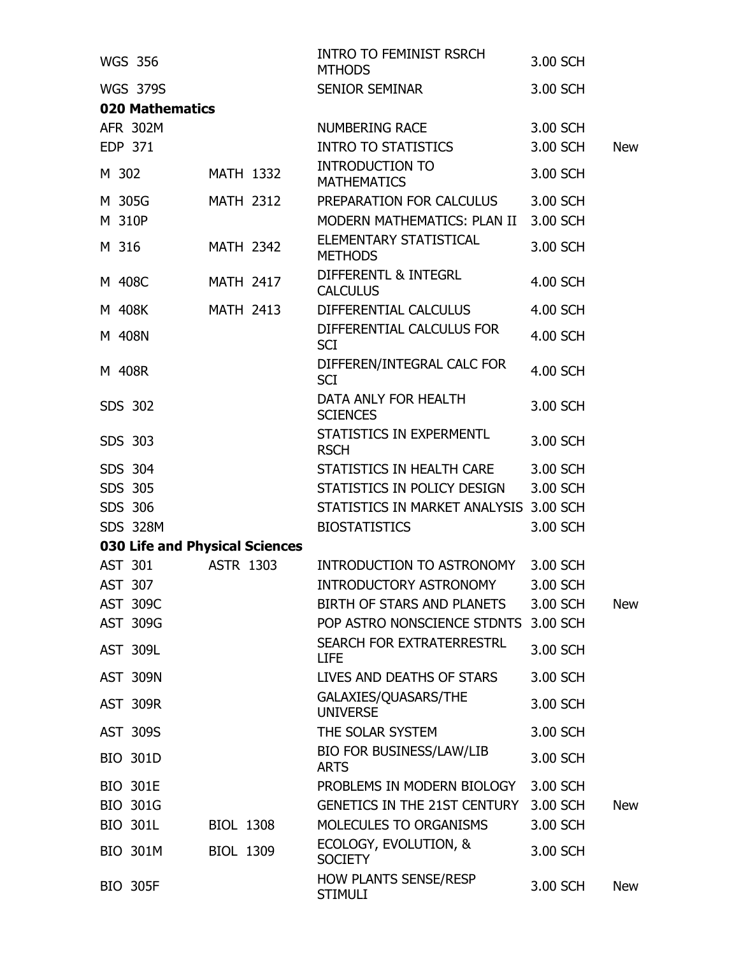| <b>WGS 356</b>                 |                  | <b>INTRO TO FEMINIST RSRCH</b><br><b>MTHODS</b> | 3.00 SCH |            |
|--------------------------------|------------------|-------------------------------------------------|----------|------------|
| <b>WGS 379S</b>                |                  | SENIOR SEMINAR                                  | 3.00 SCH |            |
| <b>020 Mathematics</b>         |                  |                                                 |          |            |
| AFR 302M                       |                  | <b>NUMBERING RACE</b>                           | 3.00 SCH |            |
| <b>EDP 371</b>                 |                  | <b>INTRO TO STATISTICS</b>                      | 3.00 SCH | <b>New</b> |
| M 302                          | <b>MATH 1332</b> | <b>INTRODUCTION TO</b><br><b>MATHEMATICS</b>    | 3.00 SCH |            |
| M 305G                         | <b>MATH 2312</b> | PREPARATION FOR CALCULUS                        | 3.00 SCH |            |
| M 310P                         |                  | MODERN MATHEMATICS: PLAN II                     | 3.00 SCH |            |
| M 316                          | <b>MATH 2342</b> | ELEMENTARY STATISTICAL<br><b>METHODS</b>        | 3.00 SCH |            |
| M 408C                         | <b>MATH 2417</b> | DIFFERENTL & INTEGRL<br><b>CALCULUS</b>         | 4.00 SCH |            |
| M 408K                         | <b>MATH 2413</b> | DIFFERENTIAL CALCULUS                           | 4.00 SCH |            |
| M 408N                         |                  | DIFFERENTIAL CALCULUS FOR<br><b>SCI</b>         | 4.00 SCH |            |
| M 408R                         |                  | DIFFEREN/INTEGRAL CALC FOR<br><b>SCI</b>        | 4.00 SCH |            |
| SDS 302                        |                  | DATA ANLY FOR HEALTH<br><b>SCIENCES</b>         | 3.00 SCH |            |
| SDS 303                        |                  | STATISTICS IN EXPERMENTL<br><b>RSCH</b>         | 3.00 SCH |            |
| SDS 304                        |                  | STATISTICS IN HEALTH CARE                       | 3.00 SCH |            |
| SDS 305                        |                  | STATISTICS IN POLICY DESIGN                     | 3.00 SCH |            |
| SDS 306                        |                  | STATISTICS IN MARKET ANALYSIS 3.00 SCH          |          |            |
| <b>SDS 328M</b>                |                  | <b>BIOSTATISTICS</b>                            | 3.00 SCH |            |
| 030 Life and Physical Sciences |                  |                                                 |          |            |
| AST 301                        | <b>ASTR 1303</b> | INTRODUCTION TO ASTRONOMY                       | 3.00 SCH |            |
| AST 307                        |                  | <b>INTRODUCTORY ASTRONOMY</b>                   | 3.00 SCH |            |
| <b>AST 309C</b>                |                  | BIRTH OF STARS AND PLANETS                      | 3.00 SCH | <b>New</b> |
| AST 309G                       |                  | POP ASTRO NONSCIENCE STDNTS                     | 3.00 SCH |            |
| <b>AST 309L</b>                |                  | <b>SEARCH FOR EXTRATERRESTRL</b><br><b>LIFE</b> | 3.00 SCH |            |
| <b>AST 309N</b>                |                  | LIVES AND DEATHS OF STARS                       | 3.00 SCH |            |
| <b>AST 309R</b>                |                  | GALAXIES/QUASARS/THE<br><b>UNIVERSE</b>         | 3.00 SCH |            |
| <b>AST 309S</b>                |                  | THE SOLAR SYSTEM                                | 3.00 SCH |            |
| <b>BIO 301D</b>                |                  | <b>BIO FOR BUSINESS/LAW/LIB</b><br><b>ARTS</b>  | 3.00 SCH |            |
| <b>BIO 301E</b>                |                  | PROBLEMS IN MODERN BIOLOGY                      | 3.00 SCH |            |
| <b>BIO 301G</b>                |                  | <b>GENETICS IN THE 21ST CENTURY</b>             | 3.00 SCH | <b>New</b> |
| <b>BIO 301L</b>                | <b>BIOL 1308</b> | MOLECULES TO ORGANISMS                          | 3.00 SCH |            |
| <b>BIO 301M</b>                | <b>BIOL 1309</b> | ECOLOGY, EVOLUTION, &<br><b>SOCIETY</b>         | 3.00 SCH |            |
| <b>BIO 305F</b>                |                  | <b>HOW PLANTS SENSE/RESP</b><br><b>STIMULI</b>  | 3.00 SCH | <b>New</b> |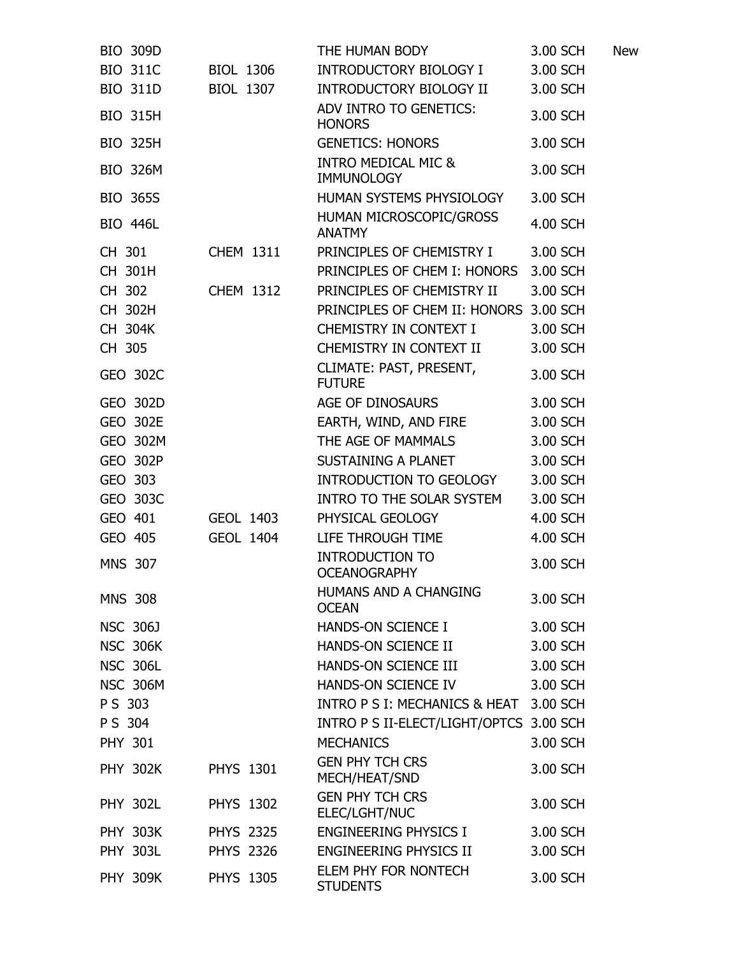| <b>BIO 309D</b> |                  | THE HUMAN BODY                                      | 3.00 SCH | <b>New</b> |
|-----------------|------------------|-----------------------------------------------------|----------|------------|
| <b>BIO 311C</b> | <b>BIOL 1306</b> | INTRODUCTORY BIOLOGY I                              | 3.00 SCH |            |
| <b>BIO 311D</b> | BIOL 1307        | INTRODUCTORY BIOLOGY II                             | 3.00 SCH |            |
| <b>BIO 315H</b> |                  | ADV INTRO TO GENETICS:<br><b>HONORS</b>             | 3.00 SCH |            |
| <b>BIO 325H</b> |                  | <b>GENETICS: HONORS</b>                             | 3.00 SCH |            |
| <b>BIO 326M</b> |                  | <b>INTRO MEDICAL MIC &amp;</b><br><b>IMMUNOLOGY</b> | 3.00 SCH |            |
| <b>BIO 365S</b> |                  | HUMAN SYSTEMS PHYSIOLOGY                            | 3.00 SCH |            |
| <b>BIO 446L</b> |                  | HUMAN MICROSCOPIC/GROSS<br><b>ANATMY</b>            | 4.00 SCH |            |
| CH 301          | <b>CHEM 1311</b> | PRINCIPLES OF CHEMISTRY I                           | 3.00 SCH |            |
| CH 301H         |                  | PRINCIPLES OF CHEM I: HONORS                        | 3.00 SCH |            |
| CH 302          | <b>CHEM 1312</b> | PRINCIPLES OF CHEMISTRY II                          | 3.00 SCH |            |
| CH 302H         |                  | PRINCIPLES OF CHEM II: HONORS 3.00 SCH              |          |            |
| CH 304K         |                  | CHEMISTRY IN CONTEXT I                              | 3.00 SCH |            |
| CH 305          |                  | CHEMISTRY IN CONTEXT II                             | 3.00 SCH |            |
| GEO 302C        |                  | CLIMATE: PAST, PRESENT,<br><b>FUTURE</b>            | 3.00 SCH |            |
| GEO 302D        |                  | AGE OF DINOSAURS                                    | 3.00 SCH |            |
| GEO 302E        |                  | EARTH, WIND, AND FIRE                               | 3.00 SCH |            |
| <b>GEO 302M</b> |                  | THE AGE OF MAMMALS                                  | 3.00 SCH |            |
| <b>GEO 302P</b> |                  | SUSTAINING A PLANET                                 | 3.00 SCH |            |
| GEO 303         |                  | INTRODUCTION TO GEOLOGY                             | 3.00 SCH |            |
| GEO 303C        |                  | INTRO TO THE SOLAR SYSTEM                           | 3.00 SCH |            |
| GEO 401         | GEOL 1403        | PHYSICAL GEOLOGY                                    | 4.00 SCH |            |
| GEO 405         | <b>GEOL 1404</b> | LIFE THROUGH TIME                                   | 4.00 SCH |            |
| <b>MNS 307</b>  |                  | <b>INTRODUCTION TO</b><br><b>OCEANOGRAPHY</b>       | 3.00 SCH |            |
| <b>MNS 308</b>  |                  | HUMANS AND A CHANGING<br><b>OCEAN</b>               | 3.00 SCH |            |
| <b>NSC 306J</b> |                  | HANDS-ON SCIENCE I                                  | 3.00 SCH |            |
| <b>NSC 306K</b> |                  | HANDS-ON SCIENCE II                                 | 3.00 SCH |            |
| <b>NSC 306L</b> |                  | HANDS-ON SCIENCE III                                | 3.00 SCH |            |
| <b>NSC 306M</b> |                  | HANDS-ON SCIENCE IV                                 | 3.00 SCH |            |
| PS 303          |                  | INTRO P S I: MECHANICS & HEAT 3.00 SCH              |          |            |
| PS 304          |                  | INTRO P S II-ELECT/LIGHT/OPTCS 3.00 SCH             |          |            |
| <b>PHY 301</b>  |                  | <b>MECHANICS</b>                                    | 3.00 SCH |            |
| <b>PHY 302K</b> | <b>PHYS 1301</b> | <b>GEN PHY TCH CRS</b><br>MECH/HEAT/SND             | 3.00 SCH |            |
| <b>PHY 302L</b> | <b>PHYS 1302</b> | <b>GEN PHY TCH CRS</b><br>ELEC/LGHT/NUC             | 3.00 SCH |            |
| <b>PHY 303K</b> | <b>PHYS 2325</b> | ENGINEERING PHYSICS I                               | 3.00 SCH |            |
| <b>PHY 303L</b> | <b>PHYS 2326</b> | ENGINEERING PHYSICS II                              | 3.00 SCH |            |
| <b>PHY 309K</b> | <b>PHYS 1305</b> | ELEM PHY FOR NONTECH<br><b>STUDENTS</b>             | 3.00 SCH |            |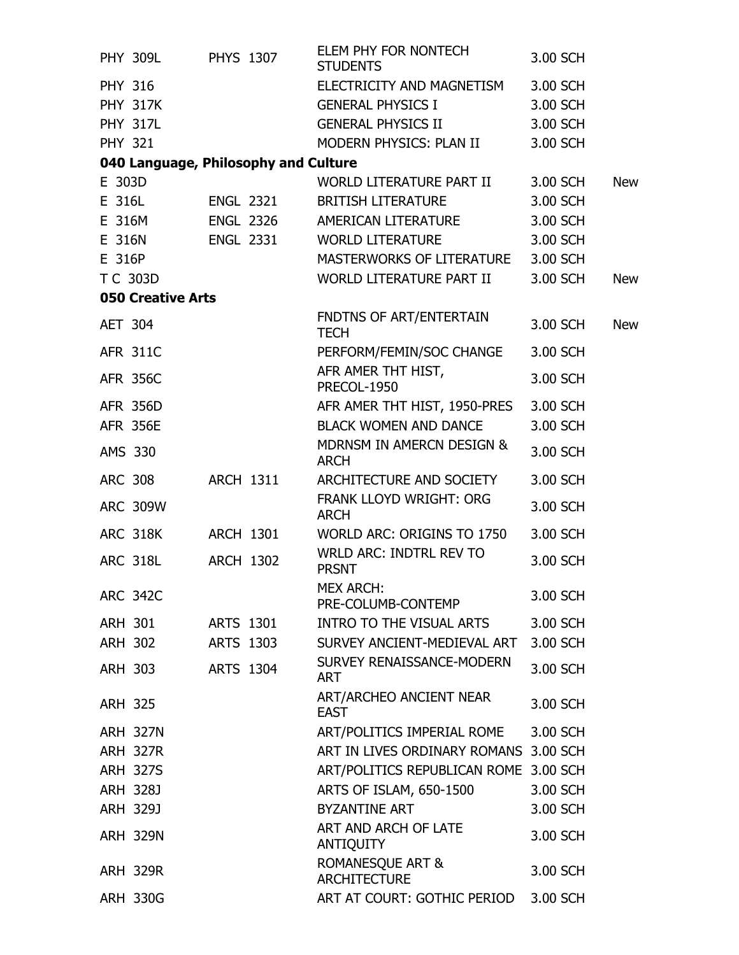| <b>PHY 309L</b>          | <b>PHYS 1307</b>                     | ELEM PHY FOR NONTECH<br><b>STUDENTS</b>            | 3.00 SCH |            |
|--------------------------|--------------------------------------|----------------------------------------------------|----------|------------|
| <b>PHY 316</b>           |                                      | ELECTRICITY AND MAGNETISM                          | 3.00 SCH |            |
| <b>PHY 317K</b>          |                                      | <b>GENERAL PHYSICS I</b>                           | 3.00 SCH |            |
| <b>PHY 317L</b>          |                                      | <b>GENERAL PHYSICS II</b>                          | 3.00 SCH |            |
| <b>PHY 321</b>           |                                      | MODERN PHYSICS: PLAN II                            | 3.00 SCH |            |
|                          | 040 Language, Philosophy and Culture |                                                    |          |            |
| E 303D                   |                                      | WORLD LITERATURE PART II                           | 3.00 SCH | <b>New</b> |
| E 316L                   | <b>ENGL 2321</b>                     | <b>BRITISH LITERATURE</b>                          | 3.00 SCH |            |
| E 316M                   | <b>ENGL 2326</b>                     | AMERICAN LITERATURE                                | 3.00 SCH |            |
| E 316N                   | <b>ENGL 2331</b>                     | <b>WORLD LITERATURE</b>                            | 3.00 SCH |            |
| E 316P                   |                                      | MASTERWORKS OF LITERATURE                          | 3.00 SCH |            |
| T C 303D                 |                                      | WORLD LITERATURE PART II                           | 3.00 SCH | <b>New</b> |
| <b>050 Creative Arts</b> |                                      |                                                    |          |            |
| <b>AET 304</b>           |                                      | FNDTNS OF ART/ENTERTAIN<br><b>TECH</b>             | 3.00 SCH | <b>New</b> |
| <b>AFR 311C</b>          |                                      | PERFORM/FEMIN/SOC CHANGE                           | 3.00 SCH |            |
| <b>AFR 356C</b>          |                                      | AFR AMER THT HIST,<br><b>PRECOL-1950</b>           | 3.00 SCH |            |
| <b>AFR 356D</b>          |                                      | AFR AMER THT HIST, 1950-PRES                       | 3.00 SCH |            |
| <b>AFR 356E</b>          |                                      | <b>BLACK WOMEN AND DANCE</b>                       | 3.00 SCH |            |
| AMS 330                  |                                      | MDRNSM IN AMERCN DESIGN &<br><b>ARCH</b>           | 3.00 SCH |            |
| <b>ARC 308</b>           | <b>ARCH 1311</b>                     | ARCHITECTURE AND SOCIETY                           | 3.00 SCH |            |
| <b>ARC 309W</b>          |                                      | FRANK LLOYD WRIGHT: ORG<br><b>ARCH</b>             | 3.00 SCH |            |
| <b>ARC 318K</b>          | <b>ARCH 1301</b>                     | WORLD ARC: ORIGINS TO 1750                         | 3.00 SCH |            |
| <b>ARC 318L</b>          | <b>ARCH 1302</b>                     | <b>WRLD ARC: INDTRL REV TO</b><br><b>PRSNT</b>     | 3.00 SCH |            |
| <b>ARC 342C</b>          |                                      | <b>MEX ARCH:</b><br>PRE-COLUMB-CONTEMP             | 3.00 SCH |            |
| ARH 301                  | ARTS 1301                            | INTRO TO THE VISUAL ARTS                           | 3.00 SCH |            |
| ARH 302                  | ARTS 1303                            | SURVEY ANCIENT-MEDIEVAL ART                        | 3.00 SCH |            |
| ARH 303                  | <b>ARTS 1304</b>                     | SURVEY RENAISSANCE-MODERN<br>ART                   | 3.00 SCH |            |
| <b>ARH 325</b>           |                                      | ART/ARCHEO ANCIENT NEAR<br><b>EAST</b>             | 3.00 SCH |            |
| <b>ARH 327N</b>          |                                      | ART/POLITICS IMPERIAL ROME                         | 3.00 SCH |            |
| <b>ARH 327R</b>          |                                      | ART IN LIVES ORDINARY ROMANS 3.00 SCH              |          |            |
| <b>ARH 327S</b>          |                                      | ART/POLITICS REPUBLICAN ROME 3.00 SCH              |          |            |
| ARH 328J                 |                                      | ARTS OF ISLAM, 650-1500                            | 3.00 SCH |            |
| ARH 329J                 |                                      | <b>BYZANTINE ART</b>                               | 3.00 SCH |            |
| <b>ARH 329N</b>          |                                      | ART AND ARCH OF LATE<br><b>ANTIQUITY</b>           | 3.00 SCH |            |
| <b>ARH 329R</b>          |                                      | <b>ROMANESQUE ART &amp;</b><br><b>ARCHITECTURE</b> | 3.00 SCH |            |
| <b>ARH 330G</b>          |                                      | ART AT COURT: GOTHIC PERIOD                        | 3.00 SCH |            |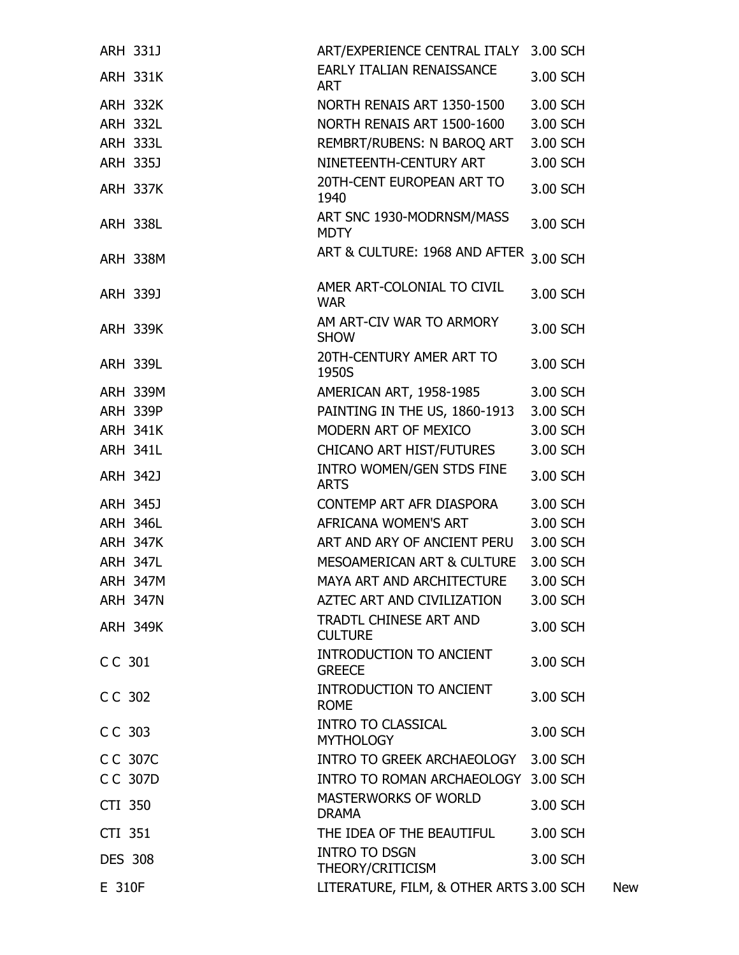| <b>ARH 331J</b> |                 | ART/EXPERIENCE CENTRAL ITALY 3.00 SCH           |          |            |
|-----------------|-----------------|-------------------------------------------------|----------|------------|
|                 | <b>ARH 331K</b> | <b>EARLY ITALIAN RENAISSANCE</b><br><b>ART</b>  | 3.00 SCH |            |
|                 | <b>ARH 332K</b> | NORTH RENAIS ART 1350-1500                      | 3.00 SCH |            |
|                 | <b>ARH 332L</b> | NORTH RENAIS ART 1500-1600                      | 3.00 SCH |            |
|                 | <b>ARH 333L</b> | REMBRT/RUBENS: N BAROQ ART                      | 3.00 SCH |            |
| <b>ARH 335J</b> |                 | NINETEENTH-CENTURY ART                          | 3.00 SCH |            |
|                 | <b>ARH 337K</b> | 20TH-CENT EUROPEAN ART TO<br>1940               | 3.00 SCH |            |
|                 | <b>ARH 338L</b> | ART SNC 1930-MODRNSM/MASS<br><b>MDTY</b>        | 3.00 SCH |            |
|                 | <b>ARH 338M</b> | ART & CULTURE: 1968 AND AFTER                   | 3.00 SCH |            |
| ARH 339J        |                 | AMER ART-COLONIAL TO CIVIL<br><b>WAR</b>        | 3.00 SCH |            |
|                 | <b>ARH 339K</b> | AM ART-CIV WAR TO ARMORY<br><b>SHOW</b>         | 3.00 SCH |            |
|                 | <b>ARH 339L</b> | 20TH-CENTURY AMER ART TO<br>1950S               | 3.00 SCH |            |
|                 | <b>ARH 339M</b> | AMERICAN ART, 1958-1985                         | 3.00 SCH |            |
|                 | <b>ARH 339P</b> | PAINTING IN THE US, 1860-1913                   | 3.00 SCH |            |
|                 | <b>ARH 341K</b> | MODERN ART OF MEXICO                            | 3.00 SCH |            |
|                 | <b>ARH 341L</b> | CHICANO ART HIST/FUTURES                        | 3.00 SCH |            |
| <b>ARH 342J</b> |                 | INTRO WOMEN/GEN STDS FINE<br><b>ARTS</b>        | 3.00 SCH |            |
| <b>ARH 345J</b> |                 | CONTEMP ART AFR DIASPORA                        | 3.00 SCH |            |
|                 | <b>ARH 346L</b> | AFRICANA WOMEN'S ART                            | 3.00 SCH |            |
|                 | <b>ARH 347K</b> | ART AND ARY OF ANCIENT PERU                     | 3.00 SCH |            |
|                 | <b>ARH 347L</b> | MESOAMERICAN ART & CULTURE                      | 3.00 SCH |            |
|                 | <b>ARH 347M</b> | MAYA ART AND ARCHITECTURE 3.00 SCH              |          |            |
|                 | <b>ARH 347N</b> | AZTEC ART AND CIVILIZATION                      | 3.00 SCH |            |
|                 | <b>ARH 349K</b> | TRADTL CHINESE ART AND<br><b>CULTURE</b>        | 3.00 SCH |            |
| CC 301          |                 | <b>INTRODUCTION TO ANCIENT</b><br><b>GREECE</b> | 3.00 SCH |            |
| CC 302          |                 | INTRODUCTION TO ANCIENT<br><b>ROME</b>          | 3.00 SCH |            |
| CC 303          |                 | <b>INTRO TO CLASSICAL</b><br><b>MYTHOLOGY</b>   | 3.00 SCH |            |
| CC 307C         |                 | INTRO TO GREEK ARCHAEOLOGY                      | 3.00 SCH |            |
| CC 307D         |                 | INTRO TO ROMAN ARCHAEOLOGY 3.00 SCH             |          |            |
| CTI 350         |                 | MASTERWORKS OF WORLD<br><b>DRAMA</b>            | 3.00 SCH |            |
| CTI 351         |                 | THE IDEA OF THE BEAUTIFUL                       | 3.00 SCH |            |
| <b>DES 308</b>  |                 | <b>INTRO TO DSGN</b><br>THEORY/CRITICISM        | 3.00 SCH |            |
| E 310F          |                 | LITERATURE, FILM, & OTHER ARTS 3.00 SCH         |          | <b>New</b> |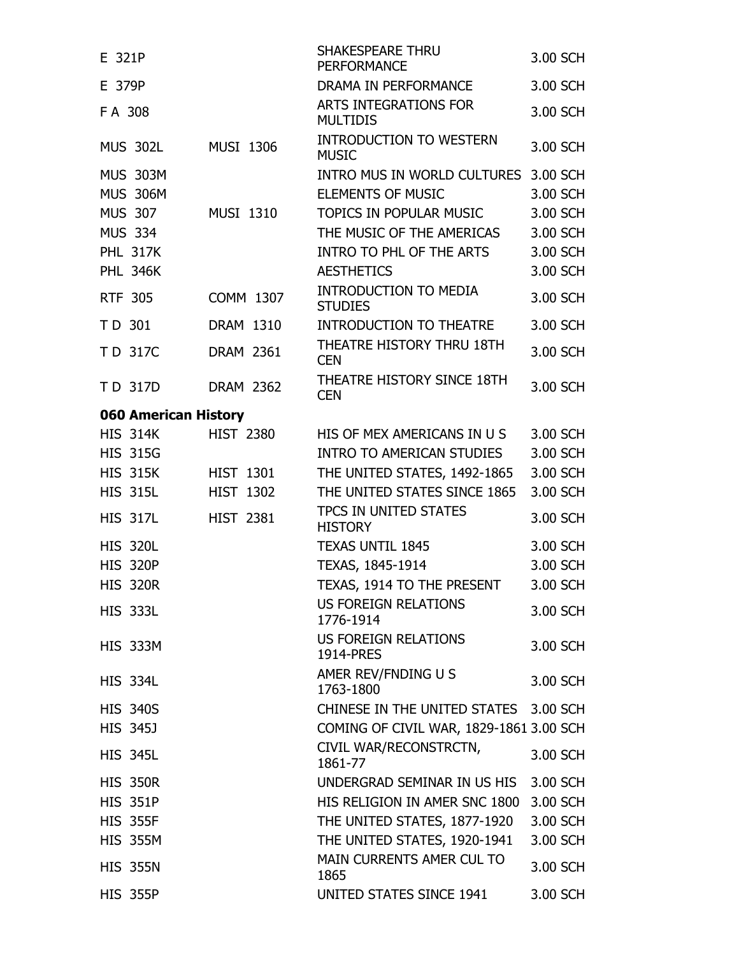| E 321P               |                  | <b>SHAKESPEARE THRU</b><br><b>PERFORMANCE</b>  | 3.00 SCH |
|----------------------|------------------|------------------------------------------------|----------|
| E 379P               |                  | DRAMA IN PERFORMANCE                           | 3.00 SCH |
| FA 308               |                  | ARTS INTEGRATIONS FOR<br><b>MULTIDIS</b>       | 3.00 SCH |
| <b>MUS 302L</b>      | <b>MUSI 1306</b> | <b>INTRODUCTION TO WESTERN</b><br><b>MUSIC</b> | 3.00 SCH |
| <b>MUS 303M</b>      |                  | INTRO MUS IN WORLD CULTURES                    | 3.00 SCH |
| <b>MUS 306M</b>      |                  | <b>ELEMENTS OF MUSIC</b>                       | 3.00 SCH |
| <b>MUS 307</b>       | <b>MUSI 1310</b> | TOPICS IN POPULAR MUSIC                        | 3.00 SCH |
| <b>MUS 334</b>       |                  | THE MUSIC OF THE AMERICAS                      | 3.00 SCH |
| <b>PHL 317K</b>      |                  | INTRO TO PHL OF THE ARTS                       | 3.00 SCH |
| <b>PHL 346K</b>      |                  | <b>AESTHETICS</b>                              | 3.00 SCH |
| <b>RTF 305</b>       | <b>COMM 1307</b> | <b>INTRODUCTION TO MEDIA</b><br><b>STUDIES</b> | 3.00 SCH |
| TD 301               | DRAM 1310        | <b>INTRODUCTION TO THEATRE</b>                 | 3.00 SCH |
| TD 317C              | <b>DRAM 2361</b> | THEATRE HISTORY THRU 18TH<br><b>CEN</b>        | 3.00 SCH |
| TD 317D              | <b>DRAM 2362</b> | THEATRE HISTORY SINCE 18TH<br><b>CEN</b>       | 3.00 SCH |
| 060 American History |                  |                                                |          |
| <b>HIS 314K</b>      | <b>HIST 2380</b> | HIS OF MEX AMERICANS IN U S                    | 3.00 SCH |
| <b>HIS 315G</b>      |                  | <b>INTRO TO AMERICAN STUDIES</b>               | 3.00 SCH |
| <b>HIS 315K</b>      | <b>HIST 1301</b> | THE UNITED STATES, 1492-1865                   | 3.00 SCH |
| <b>HIS 315L</b>      | <b>HIST 1302</b> | THE UNITED STATES SINCE 1865                   | 3.00 SCH |
| <b>HIS 317L</b>      | <b>HIST 2381</b> | TPCS IN UNITED STATES<br><b>HISTORY</b>        | 3.00 SCH |
| <b>HIS 320L</b>      |                  | <b>TEXAS UNTIL 1845</b>                        | 3.00 SCH |
| <b>HIS 320P</b>      |                  | TEXAS, 1845-1914                               | 3.00 SCH |
| <b>HIS 320R</b>      |                  | TEXAS, 1914 TO THE PRESENT                     | 3.00 SCH |
| <b>HIS 333L</b>      |                  | <b>US FOREIGN RELATIONS</b><br>1776-1914       | 3.00 SCH |
| <b>HIS 333M</b>      |                  | US FOREIGN RELATIONS<br>1914-PRES              | 3.00 SCH |
| <b>HIS 334L</b>      |                  | AMER REV/FNDING U S<br>1763-1800               | 3.00 SCH |
| <b>HIS 340S</b>      |                  | CHINESE IN THE UNITED STATES 3.00 SCH          |          |
| <b>HIS 345J</b>      |                  | COMING OF CIVIL WAR, 1829-1861 3.00 SCH        |          |
| <b>HIS 345L</b>      |                  | CIVIL WAR/RECONSTRCTN,<br>1861-77              | 3.00 SCH |
| <b>HIS 350R</b>      |                  | UNDERGRAD SEMINAR IN US HIS                    | 3.00 SCH |
| <b>HIS 351P</b>      |                  | HIS RELIGION IN AMER SNC 1800                  | 3.00 SCH |
| <b>HIS 355F</b>      |                  | THE UNITED STATES, 1877-1920                   | 3.00 SCH |
| <b>HIS 355M</b>      |                  | THE UNITED STATES, 1920-1941                   | 3.00 SCH |
| <b>HIS 355N</b>      |                  | MAIN CURRENTS AMER CUL TO<br>1865              | 3.00 SCH |
| <b>HIS 355P</b>      |                  | UNITED STATES SINCE 1941                       | 3.00 SCH |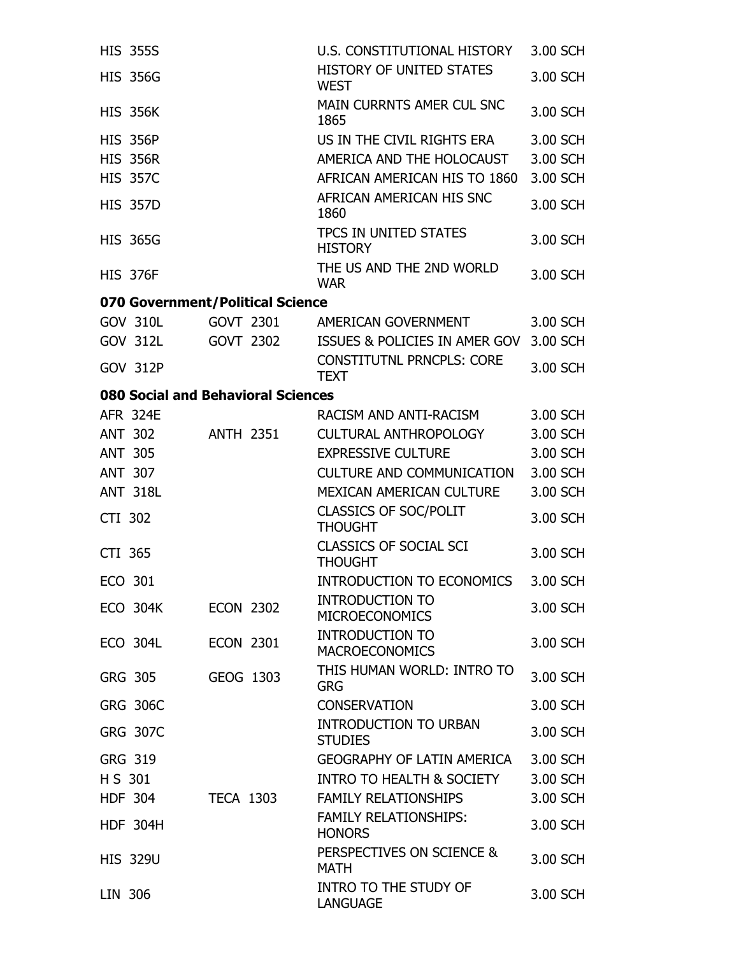|         | <b>HIS 355S</b>                    |                  |                  | U.S. CONSTITUTIONAL HISTORY                     | 3.00 SCH |
|---------|------------------------------------|------------------|------------------|-------------------------------------------------|----------|
|         | <b>HIS 356G</b>                    |                  |                  | <b>HISTORY OF UNITED STATES</b><br><b>WEST</b>  | 3.00 SCH |
|         | <b>HIS 356K</b>                    |                  |                  | MAIN CURRNTS AMER CUL SNC<br>1865               | 3.00 SCH |
|         | <b>HIS 356P</b>                    |                  |                  | US IN THE CIVIL RIGHTS ERA                      | 3.00 SCH |
|         | <b>HIS 356R</b>                    |                  |                  | AMERICA AND THE HOLOCAUST                       | 3.00 SCH |
|         | <b>HIS 357C</b>                    |                  |                  | AFRICAN AMERICAN HIS TO 1860                    | 3.00 SCH |
|         | <b>HIS 357D</b>                    |                  |                  | AFRICAN AMERICAN HIS SNC<br>1860                | 3.00 SCH |
|         | <b>HIS 365G</b>                    |                  |                  | TPCS IN UNITED STATES<br><b>HISTORY</b>         | 3.00 SCH |
|         | <b>HIS 376F</b>                    |                  |                  | THE US AND THE 2ND WORLD<br><b>WAR</b>          | 3.00 SCH |
|         | 070 Government/Political Science   |                  |                  |                                                 |          |
|         | <b>GOV 310L</b>                    |                  | GOVT 2301        | AMERICAN GOVERNMENT                             | 3.00 SCH |
|         | GOV 312L                           |                  | GOVT 2302        | ISSUES & POLICIES IN AMER GOV                   | 3.00 SCH |
|         | <b>GOV 312P</b>                    |                  |                  | <b>CONSTITUTNL PRNCPLS: CORE</b><br><b>TEXT</b> | 3.00 SCH |
|         | 080 Social and Behavioral Sciences |                  |                  |                                                 |          |
|         | <b>AFR 324E</b>                    |                  |                  | RACISM AND ANTI-RACISM                          | 3.00 SCH |
|         | <b>ANT 302</b>                     |                  | ANTH 2351        | CULTURAL ANTHROPOLOGY                           | 3.00 SCH |
|         | <b>ANT 305</b>                     |                  |                  | <b>EXPRESSIVE CULTURE</b>                       | 3.00 SCH |
|         | <b>ANT 307</b>                     |                  |                  | <b>CULTURE AND COMMUNICATION</b>                | 3.00 SCH |
|         | <b>ANT 318L</b>                    |                  |                  | MEXICAN AMERICAN CULTURE                        | 3.00 SCH |
| CTI 302 |                                    |                  |                  | <b>CLASSICS OF SOC/POLIT</b><br><b>THOUGHT</b>  | 3.00 SCH |
| CTI 365 |                                    |                  |                  | <b>CLASSICS OF SOCIAL SCI</b><br><b>THOUGHT</b> | 3.00 SCH |
| ECO 301 |                                    |                  |                  | INTRODUCTION TO ECONOMICS                       | 3.00 SCH |
|         | <b>ECO 304K</b>                    | <b>ECON 2302</b> |                  | <b>INTRODUCTION TO</b><br><b>MICROECONOMICS</b> | 3.00 SCH |
|         | <b>ECO 304L</b>                    | <b>ECON 2301</b> |                  | <b>INTRODUCTION TO</b><br><b>MACROECONOMICS</b> | 3.00 SCH |
|         | GRG 305                            | GEOG 1303        |                  | THIS HUMAN WORLD: INTRO TO<br><b>GRG</b>        | 3.00 SCH |
|         | <b>GRG 306C</b>                    |                  |                  | <b>CONSERVATION</b>                             | 3.00 SCH |
|         | <b>GRG 307C</b>                    |                  |                  | <b>INTRODUCTION TO URBAN</b><br><b>STUDIES</b>  | 3.00 SCH |
|         | GRG 319                            |                  |                  | GEOGRAPHY OF LATIN AMERICA                      | 3.00 SCH |
| H S 301 |                                    |                  |                  | INTRO TO HEALTH & SOCIETY                       | 3.00 SCH |
|         | <b>HDF 304</b>                     |                  | <b>TECA 1303</b> | <b>FAMILY RELATIONSHIPS</b>                     | 3.00 SCH |
|         | <b>HDF 304H</b>                    |                  |                  | <b>FAMILY RELATIONSHIPS:</b><br><b>HONORS</b>   | 3.00 SCH |
|         | <b>HIS 329U</b>                    |                  |                  | PERSPECTIVES ON SCIENCE &<br><b>MATH</b>        | 3.00 SCH |
| LIN 306 |                                    |                  |                  | INTRO TO THE STUDY OF<br><b>LANGUAGE</b>        | 3.00 SCH |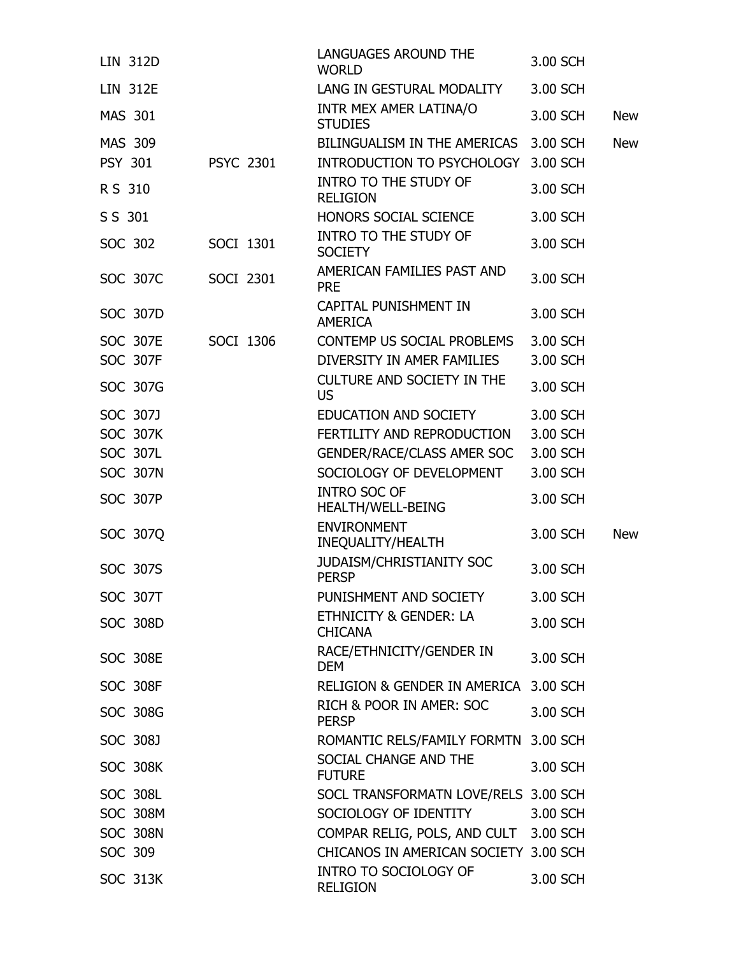| <b>LIN 312D</b> |                 |                  | LANGUAGES AROUND THE<br><b>WORLD</b>            | 3.00 SCH |            |
|-----------------|-----------------|------------------|-------------------------------------------------|----------|------------|
| <b>LIN 312E</b> |                 |                  | LANG IN GESTURAL MODALITY                       | 3.00 SCH |            |
| MAS 301         |                 |                  | INTR MEX AMER LATINA/O<br><b>STUDIES</b>        | 3.00 SCH | <b>New</b> |
| <b>MAS 309</b>  |                 |                  | BILINGUALISM IN THE AMERICAS                    | 3.00 SCH | <b>New</b> |
| <b>PSY 301</b>  |                 | <b>PSYC 2301</b> | INTRODUCTION TO PSYCHOLOGY                      | 3.00 SCH |            |
| R S 310         |                 |                  | <b>INTRO TO THE STUDY OF</b><br><b>RELIGION</b> | 3.00 SCH |            |
| S S 301         |                 |                  | HONORS SOCIAL SCIENCE                           | 3.00 SCH |            |
| SOC 302         |                 | SOCI 1301        | <b>INTRO TO THE STUDY OF</b><br><b>SOCIETY</b>  | 3.00 SCH |            |
|                 | SOC 307C        | SOCI 2301        | AMERICAN FAMILIES PAST AND<br><b>PRE</b>        | 3.00 SCH |            |
|                 | <b>SOC 307D</b> |                  | CAPITAL PUNISHMENT IN<br><b>AMERICA</b>         | 3.00 SCH |            |
|                 | <b>SOC 307E</b> | SOCI 1306        | CONTEMP US SOCIAL PROBLEMS                      | 3.00 SCH |            |
|                 | <b>SOC 307F</b> |                  | DIVERSITY IN AMER FAMILIES                      | 3.00 SCH |            |
|                 | SOC 307G        |                  | <b>CULTURE AND SOCIETY IN THE</b><br><b>US</b>  | 3.00 SCH |            |
|                 | SOC 307J        |                  | EDUCATION AND SOCIETY                           | 3.00 SCH |            |
|                 | <b>SOC 307K</b> |                  | FERTILITY AND REPRODUCTION                      | 3.00 SCH |            |
|                 | <b>SOC 307L</b> |                  | GENDER/RACE/CLASS AMER SOC                      | 3.00 SCH |            |
|                 | <b>SOC 307N</b> |                  | SOCIOLOGY OF DEVELOPMENT                        | 3.00 SCH |            |
|                 | <b>SOC 307P</b> |                  | <b>INTRO SOC OF</b><br>HEALTH/WELL-BEING        | 3.00 SCH |            |
|                 | SOC 307Q        |                  | <b>ENVIRONMENT</b><br>INEQUALITY/HEALTH         | 3.00 SCH | <b>New</b> |
|                 | SOC 307S        |                  | <b>JUDAISM/CHRISTIANITY SOC</b><br><b>PERSP</b> | 3.00 SCH |            |
|                 | <b>SOC 307T</b> |                  | PUNISHMENT AND SOCIETY                          | 3.00 SCH |            |
|                 | <b>SOC 308D</b> |                  | ETHNICITY & GENDER: LA<br><b>CHICANA</b>        | 3.00 SCH |            |
|                 | <b>SOC 308E</b> |                  | RACE/ETHNICITY/GENDER IN<br><b>DEM</b>          | 3.00 SCH |            |
|                 | <b>SOC 308F</b> |                  | <b>RELIGION &amp; GENDER IN AMERICA</b>         | 3.00 SCH |            |
|                 | SOC 308G        |                  | RICH & POOR IN AMER: SOC<br><b>PERSP</b>        | 3.00 SCH |            |
|                 | SOC 308J        |                  | ROMANTIC RELS/FAMILY FORMTN 3.00 SCH            |          |            |
|                 | <b>SOC 308K</b> |                  | SOCIAL CHANGE AND THE<br><b>FUTURE</b>          | 3.00 SCH |            |
|                 | <b>SOC 308L</b> |                  | SOCL TRANSFORMATN LOVE/RELS 3.00 SCH            |          |            |
|                 | <b>SOC 308M</b> |                  | SOCIOLOGY OF IDENTITY                           | 3.00 SCH |            |
|                 | <b>SOC 308N</b> |                  | COMPAR RELIG, POLS, AND CULT 3.00 SCH           |          |            |
| SOC 309         |                 |                  | CHICANOS IN AMERICAN SOCIETY 3.00 SCH           |          |            |
|                 | <b>SOC 313K</b> |                  | INTRO TO SOCIOLOGY OF<br><b>RELIGION</b>        | 3.00 SCH |            |